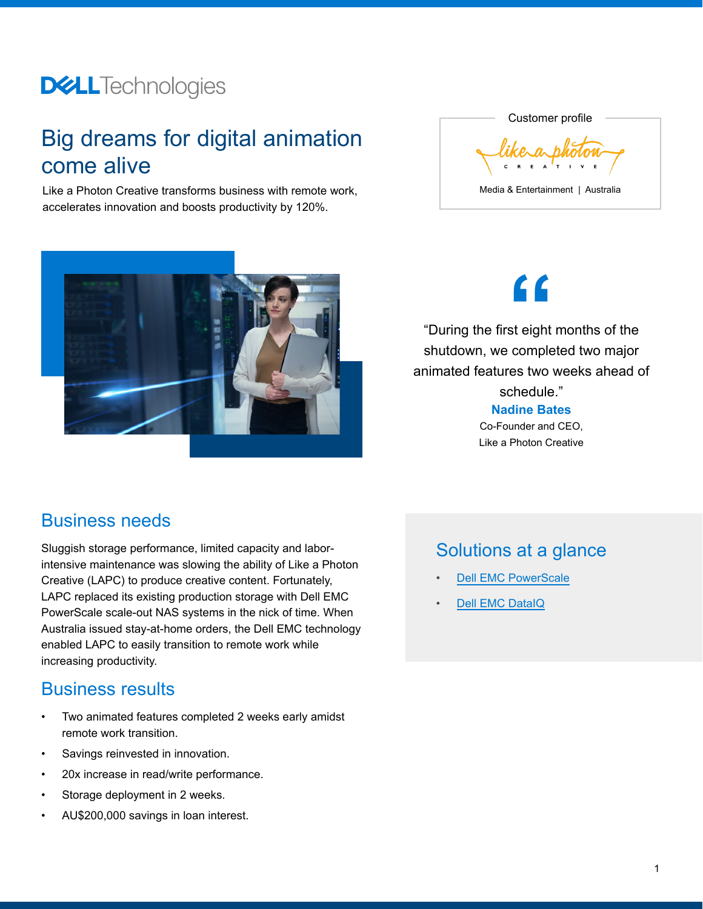# **DELL**Technologies

## Big dreams for digital animation come alive

Like a Photon Creative transforms business with remote work, accelerates innovation and boosts productivity by 120%.





**"**

"During the first eight months of the shutdown, we completed two major animated features two weeks ahead of schedule."

> **Nadine Bates** Co-Founder and CEO,

Like a Photon Creative

#### Business needs

Sluggish storage performance, limited capacity and laborintensive maintenance was slowing the ability of Like a Photon Creative (LAPC) to produce creative content. Fortunately, LAPC replaced its existing production storage with Dell EMC PowerScale scale-out NAS systems in the nick of time. When Australia issued stay-at-home orders, the Dell EMC technology enabled LAPC to easily transition to remote work while increasing productivity.

#### Business results

- Two animated features completed 2 weeks early amidst remote work transition.
- Savings reinvested in innovation.
- 20x increase in read/write performance.
- Storage deployment in 2 weeks.
- AU\$200,000 savings in loan interest.

### Solutions at a glance

- **[Dell EMC PowerScale](https://www.delltechnologies.com/en-us/storage/powerscale.htm?gacd=9650523-1033-5761040-266691960-0&dgc=st&&gclid=Cj0KCQiA5bz-BRD-ARIsABjT4ngggQ-bMHVJqqODsKFq-asHdQZUqBThgqwZOMNi426DtPZGDF7VqYEaAir_EALw_wcB&gclsrc=aw.ds)**
- **[Dell EMC DataIQ](https://www.delltechnologies.com/en-us/storage/dataiq.htm)**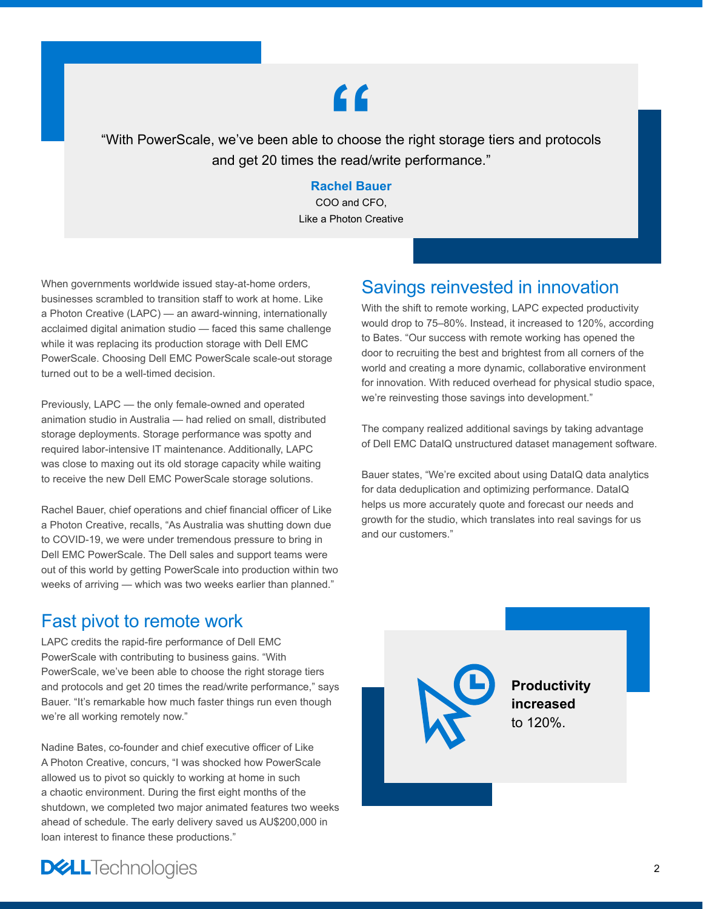# **"**

"With PowerScale, we've been able to choose the right storage tiers and protocols and get 20 times the read/write performance."

#### **Rachel Bauer**

COO and CFO, Like a Photon Creative

When governments worldwide issued stay-at-home orders, businesses scrambled to transition staff to work at home. Like a Photon Creative (LAPC) — an award-winning, internationally acclaimed digital animation studio — faced this same challenge while it was replacing its production storage with Dell EMC PowerScale. Choosing Dell EMC PowerScale scale-out storage turned out to be a well-timed decision.

Previously, LAPC — the only female-owned and operated animation studio in Australia — had relied on small, distributed storage deployments. Storage performance was spotty and required labor-intensive IT maintenance. Additionally, LAPC was close to maxing out its old storage capacity while waiting to receive the new Dell EMC PowerScale storage solutions.

Rachel Bauer, chief operations and chief financial officer of Like a Photon Creative, recalls, "As Australia was shutting down due to COVID-19, we were under tremendous pressure to bring in Dell EMC PowerScale. The Dell sales and support teams were out of this world by getting PowerScale into production within two weeks of arriving — which was two weeks earlier than planned."

#### Fast pivot to remote work

LAPC credits the rapid-fire performance of Dell EMC PowerScale with contributing to business gains. "With PowerScale, we've been able to choose the right storage tiers and protocols and get 20 times the read/write performance," says Bauer. "It's remarkable how much faster things run even though we're all working remotely now."

Nadine Bates, co-founder and chief executive officer of Like A Photon Creative, concurs, "I was shocked how PowerScale allowed us to pivot so quickly to working at home in such a chaotic environment. During the first eight months of the shutdown, we completed two major animated features two weeks ahead of schedule. The early delivery saved us AU\$200,000 in loan interest to finance these productions."

### Savings reinvested in innovation

With the shift to remote working, LAPC expected productivity would drop to 75–80%. Instead, it increased to 120%, according to Bates. "Our success with remote working has opened the door to recruiting the best and brightest from all corners of the world and creating a more dynamic, collaborative environment for innovation. With reduced overhead for physical studio space, we're reinvesting those savings into development."

The company realized additional savings by taking advantage of Dell EMC DataIQ unstructured dataset management software.

Bauer states, "We're excited about using DataIQ data analytics for data deduplication and optimizing performance. DataIQ helps us more accurately quote and forecast our needs and growth for the studio, which translates into real savings for us and our customers."

#### **Productivity increased** to 120%.